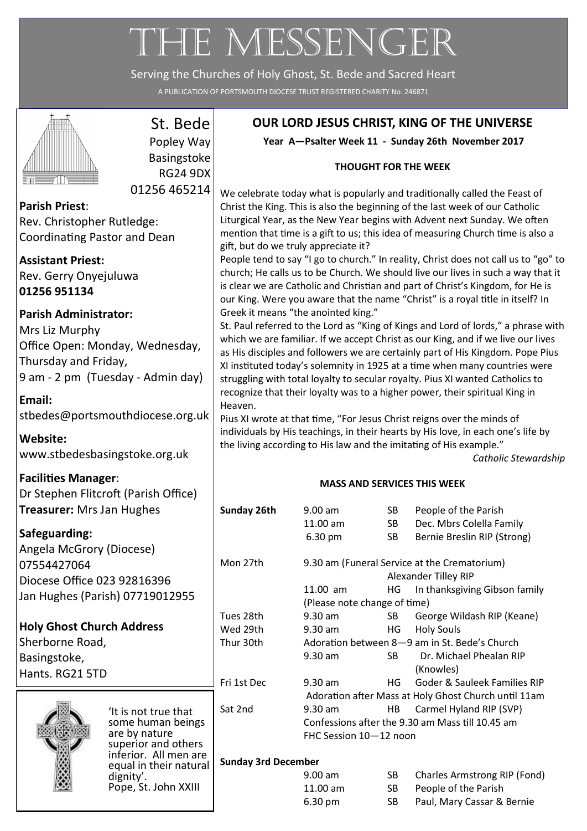# THE MESSENGER

Serving the Churches of Holy Ghost, St. Bede and Sacred Heart

A PUBLICATION OF PORTSMOUTH DIOCESE TRUST REGISTERED CHARITY No. 246871



# St. Bede

Popley Way Basingstoke RG24 9DX 01256 465214

**Parish Priest**: Rev. Christopher Rutledge: Coordinating Pastor and Dean

**Assistant Priest:** Rev. Gerry Onyejuluwa **01256 951134**

# **Parish Administrator:**

Mrs Liz Murphy Office Open: Monday, Wednesday, Thursday and Friday, 9 am - 2 pm (Tuesday - Admin day)

## **Email:**  [stbedes@portsmouthdiocese.org.uk](mailto:stbedes@portsmouthdiocese.org.uk)

**Website:**  [www.stbedesbasingstoke.org.uk](http://www.stbedesbasingstoke.org.uk)

# **Facilities Manager**:

Dr Stephen Flitcroft (Parish Office) **Treasurer: Mrs Jan Hughe** 

# **Safeguarding:**

Angela McGrory (Diocese) 07554427064 Diocese Office 023 928163 Jan Hughes (Parish) 07719

**Holy Ghost Church Addres** Sherborne Road, Basingstoke, Hants. RG21 5TD



'It is not  $t$ some hur are by nat superior a inferior. equal in the dignity'. Pope, St.

# **OUR LORD JESUS CHRIST, KING OF THE UNIVERSE**

**Year A—Psalter Week 11 - Sunday 26th November 2017**

### **THOUGHT FOR THE WEEK**

We celebrate today what is popularly and traditionally called the Feast of Christ the King. This is also the beginning of the last week of our Catholic Liturgical Year, as the New Year begins with Advent next Sunday. We often mention that time is a gift to us; this idea of measuring Church time is also a gift, but do we truly appreciate it?

People tend to say "I go to church." In reality, Christ does not call us to "go" to church; He calls us to be Church. We should live our lives in such a way that it is clear we are Catholic and Christian and part of Christ's Kingdom, for He is our King. Were you aware that the name "Christ" is a royal title in itself? In Greek it means "the anointed king."

St. Paul referred to the Lord as "King of Kings and Lord of lords," a phrase with which we are familiar. If we accept Christ as our King, and if we live our lives as His disciples and followers we are certainly part of His Kingdom. Pope Pius XI instituted today's solemnity in 1925 at a time when many countries were struggling with total loyalty to secular royalty. Pius XI wanted Catholics to recognize that their loyalty was to a higher power, their spiritual King in Heaven.

Pius XI wrote at that time, "For Jesus Christ reigns over the minds of individuals by His teachings, in their hearts by His love, in each one's life by the living according to His law and the imitating of His example."

*Catholic Stewardship*

## **MASS AND SERVICES THIS WEEK**

| ξś           | Sunday 26th                | $9.00$ am                                            | SB  | People of the Parish                          |  |
|--------------|----------------------------|------------------------------------------------------|-----|-----------------------------------------------|--|
|              |                            | 11.00 am                                             | SB  | Dec. Mbrs Colella Family                      |  |
|              |                            | 6.30 pm                                              | SB  | Bernie Breslin RIP (Strong)                   |  |
|              |                            |                                                      |     |                                               |  |
|              | Mon 27th                   | 9.30 am (Funeral Service at the Crematorium)         |     |                                               |  |
| 396          |                            |                                                      |     | Alexander Tilley RIP                          |  |
|              |                            | $11.00$ am                                           | HG  | In thanksgiving Gibson family                 |  |
| 9012955      |                            | (Please note change of time)                         |     |                                               |  |
|              | Tues 28th                  | 9.30 am                                              | SB  | George Wildash RIP (Keane)                    |  |
| <b>SS</b>    | Wed 29th                   | $9.30$ am                                            | HG. | <b>Holy Souls</b>                             |  |
|              | Thur 30th                  |                                                      |     | Adoration between 8-9 am in St. Bede's Church |  |
|              |                            | 9.30 am                                              | SB. | Dr. Michael Phealan RIP                       |  |
|              |                            |                                                      |     | (Knowles)                                     |  |
|              | Fri 1st Dec                | $9.30$ am                                            | HG. | Goder & Sauleek Families RIP                  |  |
|              |                            | Adoration after Mass at Holy Ghost Church until 11am |     |                                               |  |
| rue that:    | Sat 2nd                    | $9.30$ am                                            | HB  | Carmel Hyland RIP (SVP)                       |  |
| nan beings   |                            | Confessions after the 9.30 am Mass till 10.45 am     |     |                                               |  |
| ture         | FHC Session 10-12 noon     |                                                      |     |                                               |  |
| and others   |                            |                                                      |     |                                               |  |
| All men are  | <b>Sunday 3rd December</b> |                                                      |     |                                               |  |
| heir natural |                            | $9.00$ am                                            | SB  | Charles Armstrong RIP (Fond)                  |  |
| John XXIII   |                            |                                                      |     |                                               |  |
|              |                            | 11.00 am                                             | SB  | People of the Parish                          |  |
|              |                            | 6.30 pm                                              | SB  | Paul, Mary Cassar & Bernie                    |  |